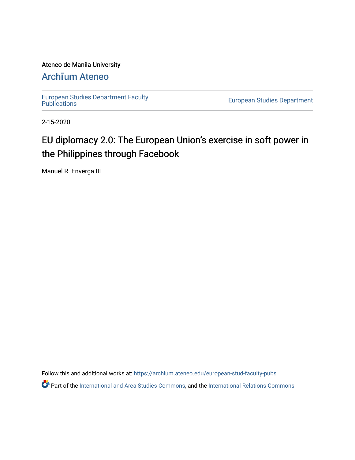### Ateneo de Manila University

## Arch**ī**[um Ateneo](https://archium.ateneo.edu/)

[European Studies Department Faculty](https://archium.ateneo.edu/european-stud-faculty-pubs) 

**European Studies Department** 

2-15-2020

# EU diplomacy 2.0: The European Union's exercise in soft power in the Philippines through Facebook

Manuel R. Enverga III

Follow this and additional works at: [https://archium.ateneo.edu/european-stud-faculty-pubs](https://archium.ateneo.edu/european-stud-faculty-pubs?utm_source=archium.ateneo.edu%2Feuropean-stud-faculty-pubs%2F2&utm_medium=PDF&utm_campaign=PDFCoverPages)

Part of the [International and Area Studies Commons,](http://network.bepress.com/hgg/discipline/360?utm_source=archium.ateneo.edu%2Feuropean-stud-faculty-pubs%2F2&utm_medium=PDF&utm_campaign=PDFCoverPages) and the [International Relations Commons](http://network.bepress.com/hgg/discipline/389?utm_source=archium.ateneo.edu%2Feuropean-stud-faculty-pubs%2F2&utm_medium=PDF&utm_campaign=PDFCoverPages)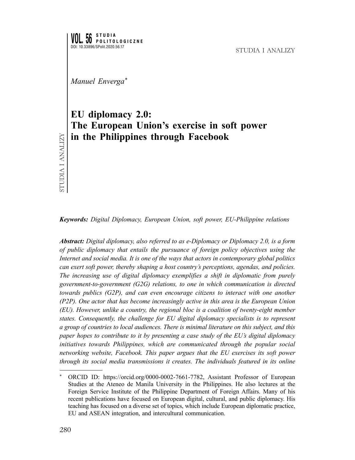STUDIA I ANALIZY

*Manuel Enverga\**

## **EU diplomacy 2.0: The European Union's exercise in soft power in the Philippines through Facebook**

*Keywords: Digital Diplomacy, European Union, soft power, EU-Philippine relations*

*Abstract: Digital diplomacy, also referred to as e-Diplomacy or Diplomacy 2.0, is a form of public diplomacy that entails the pursuance of foreign policy objectives using the Internet and social media. It is one of the ways that actors in contemporary global politics can exert soft power, thereby shaping a host country's perceptions, agendas, and policies. The increasing use of digital diplomacy exemplifies a shift in diplomatic from purely government-to-government (G2G) relations, to one in which communication is directed towards publics (G2P), and can even encourage citizens to interact with one another (P2P). One actor that has become increasingly active in this area is the European Union (EU). However, unlike a country, the regional bloc is a coalition of twenty-eight member states. Consequently, the challenge for EU digital diplomacy specialists is to represent a group of countries to local audiences. There is minimal literature on this subject, and this paper hopes to contribute to it by presenting a case study of the EU's digital diplomacy initiatives towards Philippines, which are communicated through the popular social networking website, Facebook. This paper argues that the EU exercises its soft power through its social media transmissions it creates. The individuals featured in its online* 

ORCID ID: https://orcid.org/0000-0002-7661-7782, Assistant Professor of European Studies at the Ateneo de Manila University in the Philippines. He also lectures at the Foreign Service Institute of the Philippine Department of Foreign Affairs. Many of his recent publications have focused on European digital, cultural, and public diplomacy. His teaching has focused on a diverse set of topics, which include European diplomatic practice, EU and ASEAN integration, and intercultural communication.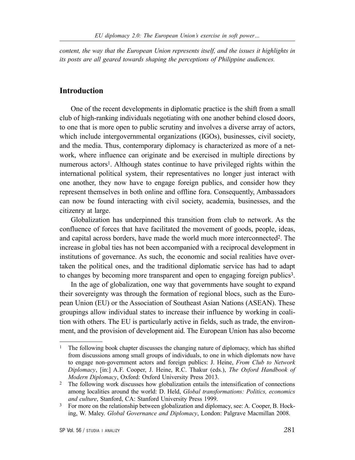*content, the way that the European Union represents itself, and the issues it highlights in its posts are all geared towards shaping the perceptions of Philippine audiences.* 

## **Introduction**

One of the recent developments in diplomatic practice is the shift from a small club of high-ranking individuals negotiating with one another behind closed doors, to one that is more open to public scrutiny and involves a diverse array of actors, which include intergovernmental organizations (IGOs), businesses, civil society, and the media. Thus, contemporary diplomacy is characterized as more of a network, where influence can originate and be exercised in multiple directions by numerous actors<sup>1</sup>. Although states continue to have privileged rights within the international political system, their representatives no longer just interact with one another, they now have to engage foreign publics, and consider how they represent themselves in both online and offline fora. Consequently, Ambassadors can now be found interacting with civil society, academia, businesses, and the citizenry at large.

Globalization has underpinned this transition from club to network. As the confluence of forces that have facilitated the movement of goods, people, ideas, and capital across borders, have made the world much more interconnected2. The increase in global ties has not been accompanied with a reciprocal development in institutions of governance. As such, the economic and social realities have overtaken the political ones, and the traditional diplomatic service has had to adapt to changes by becoming more transparent and open to engaging foreign publics<sup>3</sup>.

In the age of globalization, one way that governments have sought to expand their sovereignty was through the formation of regional blocs, such as the European Union (EU) or the Association of Southeast Asian Nations (ASEAN). These groupings allow individual states to increase their influence by working in coalition with others. The EU is particularly active in fields, such as trade, the environment, and the provision of development aid. The European Union has also become

<sup>&</sup>lt;sup>1</sup> The following book chapter discusses the changing nature of diplomacy, which has shifted from discussions among small groups of individuals, to one in which diplomats now have to engage non-government actors and foreign publics: J. Heine, *From Club to Network Diplomacy*, [in:] A.F. Cooper, J. Heine, R.C. Thakur (eds.), *The Oxford Handbook of Modern Diplomacy*, Oxford: Oxford University Press 2013.

<sup>&</sup>lt;sup>2</sup> The following work discusses how globalization entails the intensification of connections among localities around the world: D. Held, *Global transformations: Politics, economics and culture*, Stanford, CA: Stanford University Press 1999.

<sup>&</sup>lt;sup>3</sup> For more on the relationship between globalization and diplomacy, see: A. Cooper, B. Hocking, W. Maley. *Global Governance and Diplomacy*, London: Palgrave Macmillan 2008.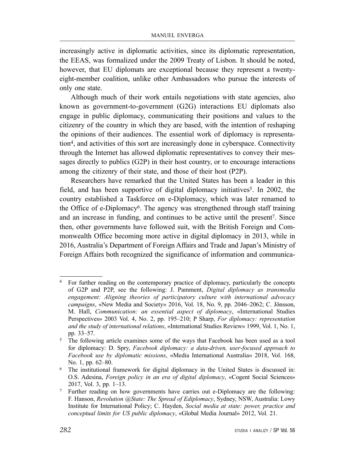increasingly active in diplomatic activities, since its diplomatic representation, the EEAS, was formalized under the 2009 Treaty of Lisbon. It should be noted, however, that EU diplomats are exceptional because they represent a twentyeight-member coalition, unlike other Ambassadors who pursue the interests of only one state.

Although much of their work entails negotiations with state agencies, also known as government-to-government (G2G) interactions EU diplomats also engage in public diplomacy, communicating their positions and values to the citizenry of the country in which they are based, with the intention of reshaping the opinions of their audiences. The essential work of diplomacy is representation4, and activities of this sort are increasingly done in cyberspace. Connectivity through the Internet has allowed diplomatic representatives to convey their messages directly to publics (G2P) in their host country, or to encourage interactions among the citizenry of their state, and those of their host (P2P).

Researchers have remarked that the United States has been a leader in this field, and has been supportive of digital diplomacy initiatives<sup>5</sup>. In 2002, the country established a Taskforce on e-Diplomacy, which was later renamed to the Office of e-Diplomacy6. The agency was strengthened through staff training and an increase in funding, and continues to be active until the present7. Since then, other governments have followed suit, with the British Foreign and Commonwealth Office becoming more active in digital diplomacy in 2013, while in 2016, Australia's Department of Foreign Affairs and Trade and Japan's Ministry of Foreign Affairs both recognized the significance of information and communica-

<sup>4</sup> For further reading on the contemporary practice of diplomacy, particularly the concepts of G2P and P2P, see the following: J. Pamment, *Digital diplomacy as transmedia engagement: Aligning theories of participatory culture with international advocacy campaigns*, «New Media and Society» 2016, Vol. 18, No. 9, pp. 2046–2062; C. Jönsson, M. Hall, *Communication: an essential aspect of diplomacy*, «International Studies Perspectives» 2003 Vol. 4, No. 2, pp. 195–210; P Sharp, *For diplomacy: representation and the study of international relations*, «International Studies Review» 1999, Vol. 1, No. 1, pp. 33–57.

<sup>&</sup>lt;sup>5</sup> The following article examines some of the ways that Facebook has been used as a tool for diplomacy: D. Spry, *Facebook diplomacy: a data-driven, user-focused approach to Facebook use by diplomatic missions*, «Media International Australia» 2018, Vol. 168, No. 1, pp. 62–80.

<sup>6</sup> The institutional framework for digital diplomacy in the United States is discussed in: O.S. Adesina, *Foreign policy in an era of digital diplomacy*, «Cogent Social Sciences» 2017, Vol. 3, pp. 1–13.

<sup>7</sup> Further reading on how governments have carries out e-Diplomacy are the following: F. Hanson, *Revolution @State: The Spread of Ediplomacy*, Sydney, NSW, Australia: Lowy Institute for International Policy; C. Hayden, *Social media at state: power, practice and conceptual limits for US public diplomacy*, «Global Media Journal» 2012, Vol. 21.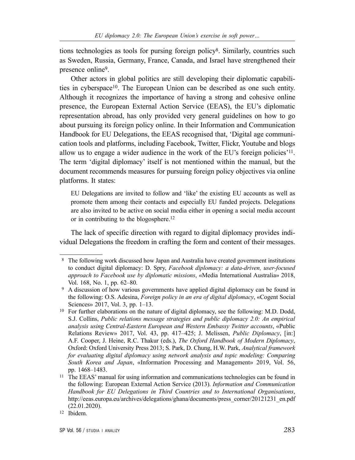tions technologies as tools for pursing foreign policy8. Similarly, countries such as Sweden, Russia, Germany, France, Canada, and Israel have strengthened their presence online9.

Other actors in global politics are still developing their diplomatic capabilities in cyberspace10. The European Union can be described as one such entity. Although it recognizes the importance of having a strong and cohesive online presence, the European External Action Service (EEAS), the EU's diplomatic representation abroad, has only provided very general guidelines on how to go about pursuing its foreign policy online. In their Information and Communication Handbook for EU Delegations, the EEAS recognised that, 'Digital age communication tools and platforms, including Facebook, Twitter, Flickr, Youtube and blogs allow us to engage a wider audience in the work of the EU's foreign policies'11. The term 'digital diplomacy' itself is not mentioned within the manual, but the document recommends measures for pursuing foreign policy objectives via online platforms. It states:

EU Delegations are invited to follow and 'like' the existing EU accounts as well as promote them among their contacts and especially EU funded projects. Delegations are also invited to be active on social media either in opening a social media account or in contributing to the blogosphere.12

The lack of specific direction with regard to digital diplomacy provides individual Delegations the freedom in crafting the form and content of their messages.

 <sup>8</sup> The following work discussed how Japan and Australia have created government institutions to conduct digital diplomacy: D. Spry, *Facebook diplomacy: a data-driven, user-focused approach to Facebook use by diplomatic missions*, «Media International Australia» 2018, Vol. 168, No. 1, pp. 62–80.

<sup>&</sup>lt;sup>9</sup> A discussion of how various governments have applied digital diplomacy can be found in the following: O.S. Adesina, *Foreign policy in an era of digital diplomacy*, «Cogent Social Sciences» 2017, Vol. 3, pp. 1–13.

<sup>10</sup> For further elaborations on the nature of digital diplomacy, see the following: M.D. Dodd, S.J. Collins, *Public relations message strategies and public diplomacy 2.0: An empirical analysis using Central-Eastern European and Western Embassy Twitter accounts*, «Public Relations Review» 2017, Vol. 43, pp. 417–425; J. Melissen, *Public Diplomacy*, [in:] A.F. Cooper, J. Heine, R.C. Thakur (eds.), *The Oxford Handbook of Modern Diplomacy*, Oxford: Oxford University Press 2013; S. Park, D. Chung, H.W. Park, *Analytical framework for evaluating digital diplomacy using network analysis and topic modeling: Comparing South Korea and Japan*, «Information Processing and Management» 2019, Vol. 56, pp. 1468–1483.

<sup>&</sup>lt;sup>11</sup> The EEAS' manual for using information and communications technologies can be found in the following: European External Action Service (2013). *Information and Communication Handbook for EU Delegations in Third Countries and to International Organisations*, http://eeas.europa.eu/archives/delegations/ghana/documents/press\_corner/20121231\_en.pdf (22.01.2020).

<sup>12</sup> Ibidem.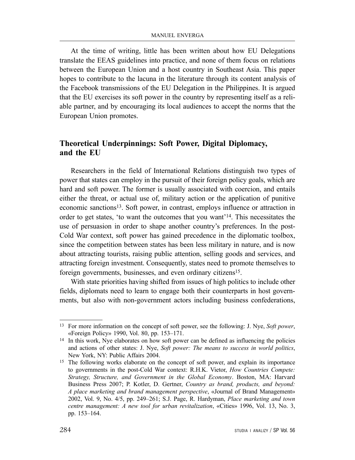At the time of writing, little has been written about how EU Delegations translate the EEAS guidelines into practice, and none of them focus on relations between the European Union and a host country in Southeast Asia. This paper hopes to contribute to the lacuna in the literature through its content analysis of the Facebook transmissions of the EU Delegation in the Philippines. It is argued that the EU exercises its soft power in the country by representing itself as a reliable partner, and by encouraging its local audiences to accept the norms that the European Union promotes.

## **Theoretical Underpinnings: Soft Power, Digital Diplomacy, and the EU**

Researchers in the field of International Relations distinguish two types of power that states can employ in the pursuit of their foreign policy goals, which are hard and soft power. The former is usually associated with coercion, and entails either the threat, or actual use of, military action or the application of punitive economic sanctions13. Soft power, in contrast, employs influence or attraction in order to get states, 'to want the outcomes that you want'14. This necessitates the use of persuasion in order to shape another country's preferences. In the post-Cold War context, soft power has gained precedence in the diplomatic toolbox, since the competition between states has been less military in nature, and is now about attracting tourists, raising public attention, selling goods and services, and attracting foreign investment. Consequently, states need to promote themselves to foreign governments, businesses, and even ordinary citizens<sup>15</sup>.

With state priorities having shifted from issues of high politics to include other fields, diplomats need to learn to engage both their counterparts in host governments, but also with non-government actors including business confederations,

<sup>13</sup> For more information on the concept of soft power, see the following: J. Nye, *Soft power*, «Foreign Policy» 1990, Vol. 80, pp. 153–171.

<sup>&</sup>lt;sup>14</sup> In this work, Nye elaborates on how soft power can be defined as influencing the policies and actions of other states: J. Nye, *Soft power: The means to success in world politics*, New York, NY: Public Affairs 2004.

<sup>&</sup>lt;sup>15</sup> The following works elaborate on the concept of soft power, and explain its importance to governments in the post-Cold War context: R.H.K. Vietor, *How Countries Compete: Strategy, Structure, and Government in the Global Economy*. Boston, MA: Harvard Business Press 2007; P. Kotler, D. Gertner, *Country as brand, products, and beyond: A place marketing and brand management perspective*, «Journal of Brand Management» 2002, Vol. 9, No. 4/5, pp. 249–261; S.J. Page, R. Hardyman, *Place marketing and town centre management: A new tool for urban revitalization*, «Cities» 1996, Vol. 13, No. 3, pp. 153–164.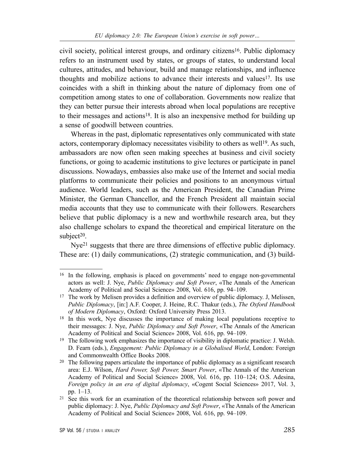civil society, political interest groups, and ordinary citizens16. Public diplomacy refers to an instrument used by states, or groups of states, to understand local cultures, attitudes, and behaviour, build and manage relationships, and influence thoughts and mobilize actions to advance their interests and values17. Its use coincides with a shift in thinking about the nature of diplomacy from one of competition among states to one of collaboration. Governments now realize that they can better pursue their interests abroad when local populations are receptive to their messages and actions18. It is also an inexpensive method for building up a sense of goodwill between countries.

Whereas in the past, diplomatic representatives only communicated with state actors, contemporary diplomacy necessitates visibility to others as well<sup>19</sup>. As such, ambassadors are now often seen making speeches at business and civil society functions, or going to academic institutions to give lectures or participate in panel discussions. Nowadays, embassies also make use of the Internet and social media platforms to communicate their policies and positions to an anonymous virtual audience. World leaders, such as the American President, the Canadian Prime Minister, the German Chancellor, and the French President all maintain social media accounts that they use to communicate with their followers. Researchers believe that public diplomacy is a new and worthwhile research area, but they also challenge scholars to expand the theoretical and empirical literature on the subject $20$ .

Nye21 suggests that there are three dimensions of effective public diplomacy. These are: (1) daily communications, (2) strategic communication, and (3) build-

<sup>16</sup> In the following, emphasis is placed on governments' need to engage non-governmental actors as well: J. Nye, *Public Diplomacy and Soft Power*, «The Annals of the American Academy of Political and Social Science» 2008, Vol. 616, pp. 94–109.

<sup>17</sup> The work by Melisen provides a definition and overview of public diplomacy. J, Melissen, *Public Diplomacy*, [in:] A.F. Cooper, J. Heine, R.C. Thakur (eds.), *The Oxford Handbook of Modern Diplomacy*, Oxford: Oxford University Press 2013.

<sup>&</sup>lt;sup>18</sup> In this work, Nye discusses the importance of making local populations receptive to their messages: J. Nye, *Public Diplomacy and Soft Power*, «The Annals of the American Academy of Political and Social Science» 2008, Vol. 616, pp. 94–109.

<sup>&</sup>lt;sup>19</sup> The following work emphasizes the importance of visibility in diplomatic practice: J. Welsh. D. Fearn (eds.), *Engagement: Public Diplomacy in a Globalised World*, London: Foreign and Commonwealth Office Books 2008.

<sup>&</sup>lt;sup>20</sup> The following papers articulate the importance of public diplomacy as a significant research area: E.J. Wilson, *Hard Power, Soft Power, Smart Power*, «The Annals of the American Academy of Political and Social Science» 2008, Vol. 616, pp. 110–124; O.S. Adesina, *Foreign policy in an era of digital diplomacy*, «Cogent Social Sciences» 2017, Vol. 3, pp. 1–13.

<sup>21</sup> See this work for an examination of the theoretical relationship between soft power and public diplomacy: J. Nye, *Public Diplomacy and Soft Power*, «The Annals of the American Academy of Political and Social Science» 2008, Vol. 616, pp. 94–109.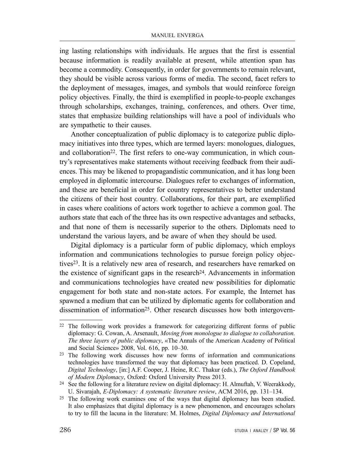ing lasting relationships with individuals. He argues that the first is essential because information is readily available at present, while attention span has become a commodity. Consequently, in order for governments to remain relevant, they should be visible across various forms of media. The second, facet refers to the deployment of messages, images, and symbols that would reinforce foreign policy objectives. Finally, the third is exemplified in people-to-people exchanges through scholarships, exchanges, training, conferences, and others. Over time, states that emphasize building relationships will have a pool of individuals who are sympathetic to their causes.

Another conceptualization of public diplomacy is to categorize public diplomacy initiatives into three types, which are termed layers: monologues, dialogues, and collaboration<sup>22</sup>. The first refers to one-way communication, in which country's representatives make statements without receiving feedback from their audiences. This may be likened to propagandistic communication, and it has long been employed in diplomatic intercourse. Dialogues refer to exchanges of information, and these are beneficial in order for country representatives to better understand the citizens of their host country. Collaborations, for their part, are exemplified in cases where coalitions of actors work together to achieve a common goal. The authors state that each of the three has its own respective advantages and setbacks, and that none of them is necessarily superior to the others. Diplomats need to understand the various layers, and be aware of when they should be used.

Digital diplomacy is a particular form of public diplomacy, which employs information and communications technologies to pursue foreign policy objectives23. It is a relatively new area of research, and researchers have remarked on the existence of significant gaps in the research<sup>24</sup>. Advancements in information and communications technologies have created new possibilities for diplomatic engagement for both state and non-state actors. For example, the Internet has spawned a medium that can be utilized by diplomatic agents for collaboration and dissemination of information<sup>25</sup>. Other research discusses how both intergovern-

<sup>22</sup> The following work provides a framework for categorizing different forms of public diplomacy: G. Cowan, A. Arsenault, *Moving from monologue to dialogue to collaboration. The three layers of public diplomacy*, «The Annals of the American Academy of Political and Social Science» 2008, Vol. 616, pp. 10–30.

<sup>&</sup>lt;sup>23</sup> The following work discusses how new forms of information and communications technologies have transformed the way that diplomacy has been practiced. D. Copeland, *Digital Technology*, [in:] A.F. Cooper, J. Heine, R.C. Thakur (eds.), *The Oxford Handbook of Modern Diplomacy*, Oxford: Oxford University Press 2013.

<sup>24</sup> See the following for a literature review on digital diplomacy: H. Almuftah, V. Weerakkody, U. Sivarajah, *E-Diplomacy: A systematic literature review*, ACM 2016, pp. 131–134.

<sup>&</sup>lt;sup>25</sup> The following work examines one of the ways that digital diplomacy has been studied. It also emphasizes that digital diplomacy is a new phenomenon, and encourages scholars to try to fill the lacuna in the literature: M. Holmes, *Digital Diplomacy and International*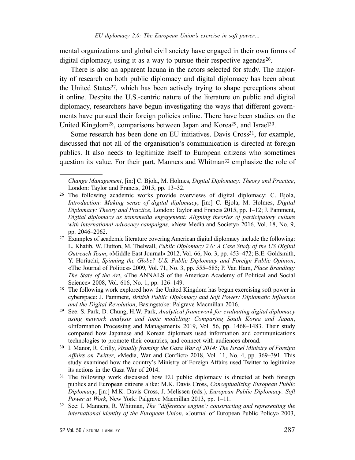mental organizations and global civil society have engaged in their own forms of digital diplomacy, using it as a way to pursue their respective agendas<sup>26</sup>.

There is also an apparent lacuna in the actors selected for study. The majority of research on both public diplomacy and digital diplomacy has been about the United States<sup>27</sup>, which has been actively trying to shape perceptions about it online. Despite the U.S.-centric nature of the literature on public and digital diplomacy, researchers have begun investigating the ways that different governments have pursued their foreign policies online. There have been studies on the United Kingdom<sup>28</sup>, comparisons between Japan and Korea<sup>29</sup>, and Israel<sup>30</sup>.

Some research has been done on EU initiatives. Davis Cross<sup>31</sup>, for example, discussed that not all of the organisation's communication is directed at foreign publics. It also needs to legitimize itself to European citizens who sometimes question its value. For their part, Manners and Whitman<sup>32</sup> emphasize the role of

*Change Management*, [in:] C. Bjola, M. Holmes, *Digital Diplomacy: Theory and Practice*, London: Taylor and Francis, 2015, pp. 13–32.

<sup>26</sup> The following academic works provide overviews of digital diplomacy: C. Bjola, *Introduction: Making sense of digital diplomacy*, [in:] C. Bjola, M. Holmes, *Digital Diplomacy: Theory and Practice*, London: Taylor and Francis 2015, pp. 1–12; J. Pamment, *Digital diplomacy as transmedia engagement: Aligning theories of participatory culture with international advocacy campaigns*, «New Media and Society» 2016, Vol. 18, No. 9, pp. 2046–2062.

<sup>27</sup> Examples of academic literature covering American digital diplomacy include the following: L. Khatib, W. Dutton, M. Thelwall, *Public Diplomacy 2.0: A Case Study of the US Digital Outreach Team*, «Middle East Journal» 2012, Vol. 66, No. 3, pp. 453–472; B.E. Goldsmith, Y. Horiuchi, *Spinning the Globe? U.S. Public Diplomacy and Foreign Public Opinion*, «The Journal of Politics» 2009, Vol. 71, No. 3, pp. 555–585; P. Van Ham, *Place Branding: The State of the Art*, «The ANNALS of the American Academy of Political and Social Science» 2008, Vol. 616, No. 1, pp. 126–149.

<sup>28</sup> The following work explored how the United Kingdom has begun exercising soft power in cyberspace: J. Pamment, *British Public Diplomacy and Soft Power: Diplomatic Influence and the Digital Revolution*, Basingstoke: Palgrave Macmillan 2016.

<sup>29</sup> See: S. Park, D. Chung, H.W. Park, *Analytical framework for evaluating digital diplomacy using network analysis and topic modeling: Comparing South Korea and Japan*, «Information Processing and Management» 2019, Vol. 56, pp. 1468–1483. Their study compared how Japanese and Korean diplomats used information and communications technologies to promote their countries, and connect with audiences abroad.

<sup>30</sup> I. Manor, R. Crilly, *Visually framing the Gaza War of 2014: The Israel Ministry of Foreign Affairs on Twitter*, «Media, War and Conflict» 2018, Vol. 11, No. 4, pp. 369–391. This study examined how the country's Ministry of Foreign Affairs used Twitter to legitimize its actions in the Gaza War of 2014.

<sup>&</sup>lt;sup>31</sup> The following work discussed how EU public diplomacy is directed at both foreign publics and European citizens alike: M.K. Davis Cross, *Conceptualizing European Public Diplomacy*, [in:] M.K. Davis Cross, J. Melissen (eds.), *European Public Diplomacy: Soft Power at Work*, New York: Palgrave Macmillan 2013, pp. 1–11.

<sup>32</sup> See: I. Manners, R. Whitman, *The "difference engine': constructing and representing the international identity of the European Union*, «Journal of European Public Policy» 2003,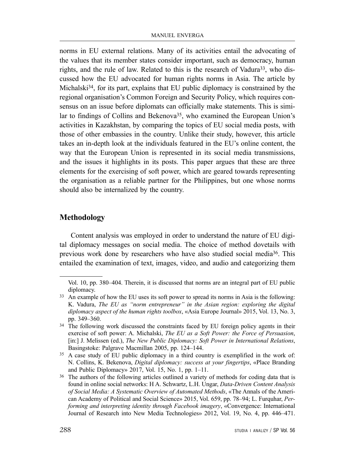norms in EU external relations. Many of its activities entail the advocating of the values that its member states consider important, such as democracy, human rights, and the rule of law. Related to this is the research of Vadura<sup>33</sup>, who discussed how the EU advocated for human rights norms in Asia. The article by Michalski<sup>34</sup>, for its part, explains that EU public diplomacy is constrained by the regional organisation's Common Foreign and Security Policy, which requires consensus on an issue before diplomats can officially make statements. This is similar to findings of Collins and Bekenova<sup>35</sup>, who examined the European Union's activities in Kazakhstan, by comparing the topics of EU social media posts, with those of other embassies in the country. Unlike their study, however, this article takes an in-depth look at the individuals featured in the EU's online content, the way that the European Union is represented in its social media transmissions, and the issues it highlights in its posts. This paper argues that these are three elements for the exercising of soft power, which are geared towards representing the organisation as a reliable partner for the Philippines, but one whose norms should also be internalized by the country.

### **Methodology**

Content analysis was employed in order to understand the nature of EU digital diplomacy messages on social media. The choice of method dovetails with previous work done by researchers who have also studied social media36. This entailed the examination of text, images, video, and audio and categorizing them

Vol. 10, pp. 380–404. Therein, it is discussed that norms are an integral part of EU public diplomacy.

<sup>&</sup>lt;sup>33</sup> An example of how the EU uses its soft power to spread its norms in Asia is the following: K. Vadura, *The EU as "norm entrepreneur" in the Asian region: exploring the digital diplomacy aspect of the human rights toolbox*, «Asia Europe Journal» 2015, Vol. 13, No. 3, pp. 349–360.

<sup>&</sup>lt;sup>34</sup> The following work discussed the constraints faced by EU foreign policy agents in their exercise of soft power: A. Michalski, *The EU as a Soft Power: the Force of Persuasion*, [in:] J. Melissen (ed.), *The New Public Diplomacy: Soft Power in International Relations*, Basingstoke: Palgrave Macmillan 2005, pp. 124–144.

<sup>35</sup> A case study of EU public diplomacy in a third country is exemplified in the work of: N. Collins, K. Bekenova, *Digital diplomacy: success at your fingertips*, «Place Branding and Public Diplomacy» 2017, Vol. 15, No. 1, pp. 1–11.

<sup>&</sup>lt;sup>36</sup> The authors of the following articles outlined a variety of methods for coding data that is found in online social networks: H A. Schwartz, L.H. Ungar, *Data-Driven Content Analysis of Social Media: A Systematic Overview of Automated Methods*, «The Annals of the American Academy of Political and Social Science» 2015, Vol. 659, pp. 78–94; L. Furquhar, *Performing and interpreting identity through Facebook imagery*, «Convergence: International Journal of Research into New Media Technologies» 2012, Vol. 19, No. 4, pp. 446–471.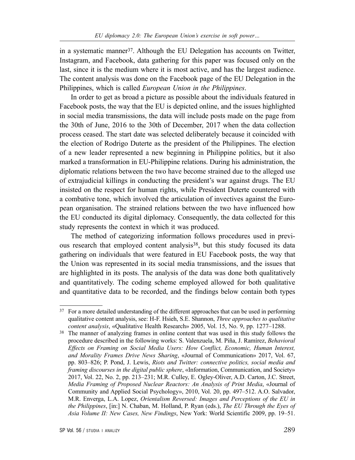in a systematic manner<sup>37</sup>. Although the EU Delegation has accounts on Twitter, Instagram, and Facebook, data gathering for this paper was focused only on the last, since it is the medium where it is most active, and has the largest audience. The content analysis was done on the Facebook page of the EU Delegation in the Philippines, which is called *European Union in the Philippines*.

In order to get as broad a picture as possible about the individuals featured in Facebook posts, the way that the EU is depicted online, and the issues highlighted in social media transmissions, the data will include posts made on the page from the 30th of June, 2016 to the 30th of December, 2017 when the data collection process ceased. The start date was selected deliberately because it coincided with the election of Rodrigo Duterte as the president of the Philippines. The election of a new leader represented a new beginning in Philippine politics, but it also marked a transformation in EU-Philippine relations. During his administration, the diplomatic relations between the two have become strained due to the alleged use of extrajudicial killings in conducting the president's war against drugs. The EU insisted on the respect for human rights, while President Duterte countered with a combative tone, which involved the articulation of invectives against the European organisation. The strained relations between the two have influenced how the EU conducted its digital diplomacy. Consequently, the data collected for this study represents the context in which it was produced.

The method of categorizing information follows procedures used in previous research that employed content analysis<sup>38</sup>, but this study focused its data gathering on individuals that were featured in EU Facebook posts, the way that the Union was represented in its social media transmissions, and the issues that are highlighted in its posts. The analysis of the data was done both qualitatively and quantitatively. The coding scheme employed allowed for both qualitative and quantitative data to be recorded, and the findings below contain both types

<sup>&</sup>lt;sup>37</sup> For a more detailed understanding of the different approaches that can be used in performing qualitative content analysis, see: H-F. Hsieh, S.E. Shannon, *Three approaches to qualitative content analysis*, «Qualitative Health Research» 2005, Vol. 15, No. 9, pp. 1277–1288.

<sup>38</sup> The manner of analyzing frames in online content that was used in this study follows the procedure described in the following works: S. Valenzuela, M. Piña, J. Ramírez, *Behavioral Effects on Framing on Social Media Users: How Conflict, Economic, Human Interest, and Morality Frames Drive News Sharing*, «Journal of Communication» 2017, Vol. 67, pp. 803–826; P. Pond, J. Lewis, *Riots and Twitter: connective politics, social media and framing discourses in the digital public sphere*, «Information, Communication, and Society» 2017, Vol. 22, No. 2, pp. 213–231; M.R. Culley, E. Ogley-Oliver, A.D. Carton, J.C. Street, *Media Framing of Proposed Nuclear Reactors: An Analysis of Print Media*, «Journal of Community and Applied Social Psychology», 2010, Vol. 20, pp. 497–512. A.O. Salvador, M.R. Enverga, L.A. Lopez, *Orientalism Reversed: Images and Perceptions of the EU in the Philippines*, [in:] N. Chaban, M. Holland, P. Ryan (eds.), *The EU Through the Eyes of Asia Volume II: New Cases, New Findings*, New York: World Scientific 2009, pp. 19–51.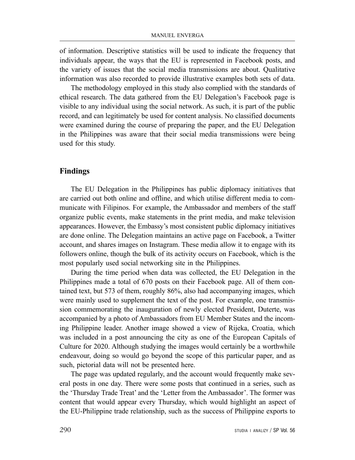of information. Descriptive statistics will be used to indicate the frequency that individuals appear, the ways that the EU is represented in Facebook posts, and the variety of issues that the social media transmissions are about. Qualitative information was also recorded to provide illustrative examples both sets of data.

The methodology employed in this study also complied with the standards of ethical research. The data gathered from the EU Delegation's Facebook page is visible to any individual using the social network. As such, it is part of the public record, and can legitimately be used for content analysis. No classified documents were examined during the course of preparing the paper, and the EU Delegation in the Philippines was aware that their social media transmissions were being used for this study.

#### **Findings**

The EU Delegation in the Philippines has public diplomacy initiatives that are carried out both online and offline, and which utilise different media to communicate with Filipinos. For example, the Ambassador and members of the staff organize public events, make statements in the print media, and make television appearances. However, the Embassy's most consistent public diplomacy initiatives are done online. The Delegation maintains an active page on Facebook, a Twitter account, and shares images on Instagram. These media allow it to engage with its followers online, though the bulk of its activity occurs on Facebook, which is the most popularly used social networking site in the Philippines.

During the time period when data was collected, the EU Delegation in the Philippines made a total of 670 posts on their Facebook page. All of them contained text, but 573 of them, roughly 86%, also had accompanying images, which were mainly used to supplement the text of the post. For example, one transmission commemorating the inauguration of newly elected President, Duterte, was accompanied by a photo of Ambassadors from EU Member States and the incoming Philippine leader. Another image showed a view of Rijeka, Croatia, which was included in a post announcing the city as one of the European Capitals of Culture for 2020. Although studying the images would certainly be a worthwhile endeavour, doing so would go beyond the scope of this particular paper, and as such, pictorial data will not be presented here.

The page was updated regularly, and the account would frequently make several posts in one day. There were some posts that continued in a series, such as the 'Thursday Trade Treat' and the 'Letter from the Ambassador'. The former was content that would appear every Thursday, which would highlight an aspect of the EU-Philippine trade relationship, such as the success of Philippine exports to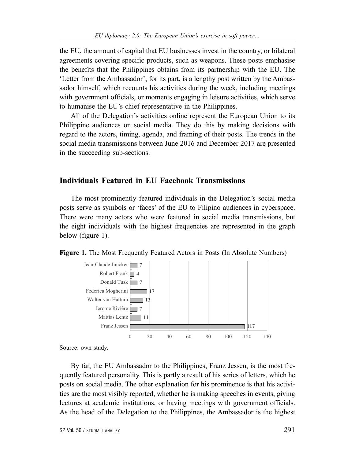the EU, the amount of capital that EU businesses invest in the country, or bilateral agreements covering specific products, such as weapons. These posts emphasise the benefits that the Philippines obtains from its partnership with the EU. The 'Letter from the Ambassador', for its part, is a lengthy post written by the Ambassador himself, which recounts his activities during the week, including meetings with government officials, or moments engaging in leisure activities, which serve to humanise the EU's chief representative in the Philippines.

All of the Delegation's activities online represent the European Union to its Philippine audiences on social media. They do this by making decisions with regard to the actors, timing, agenda, and framing of their posts. The trends in the social media transmissions between June 2016 and December 2017 are presented in the succeeding sub-sections.

#### **Individuals Featured in EU Facebook Transmissions**

The most prominently featured individuals in the Delegation's social media posts serve as symbols or 'faces' of the EU to Filipino audiences in cyberspace. There were many actors who were featured in social media transmissions, but the eight individuals with the highest frequencies are represented in the graph below (figure 1).





Source: own study.

By far, the EU Ambassador to the Philippines, Franz Jessen, is the most frequently featured personality. This is partly a result of his series of letters, which he posts on social media. The other explanation for his prominence is that his activities are the most visibly reported, whether he is making speeches in events, giving lectures at academic institutions, or having meetings with government officials. As the head of the Delegation to the Philippines, the Ambassador is the highest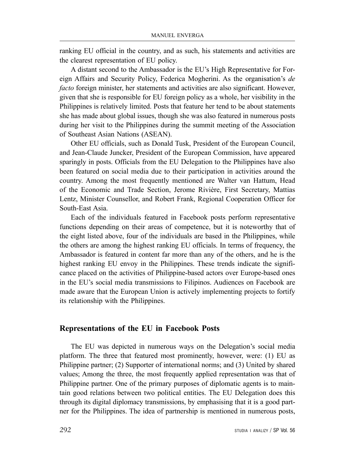ranking EU official in the country, and as such, his statements and activities are the clearest representation of EU policy.

A distant second to the Ambassador is the EU's High Representative for Foreign Affairs and Security Policy, Federica Mogherini. As the organisation's *de facto* foreign minister, her statements and activities are also significant. However, given that she is responsible for EU foreign policy as a whole, her visibility in the Philippines is relatively limited. Posts that feature her tend to be about statements she has made about global issues, though she was also featured in numerous posts during her visit to the Philippines during the summit meeting of the Association of Southeast Asian Nations (ASEAN).

Other EU officials, such as Donald Tusk, President of the European Council, and Jean-Claude Juncker, President of the European Commission, have appeared sparingly in posts. Officials from the EU Delegation to the Philippines have also been featured on social media due to their participation in activities around the country. Among the most frequently mentioned are Walter van Hattum, Head of the Economic and Trade Section, Jerome Rivière, First Secretary, Mattias Lentz, Minister Counsellor, and Robert Frank, Regional Cooperation Officer for South-East Asia.

Each of the individuals featured in Facebook posts perform representative functions depending on their areas of competence, but it is noteworthy that of the eight listed above, four of the individuals are based in the Philippines, while the others are among the highest ranking EU officials. In terms of frequency, the Ambassador is featured in content far more than any of the others, and he is the highest ranking EU envoy in the Philippines. These trends indicate the significance placed on the activities of Philippine-based actors over Europe-based ones in the EU's social media transmissions to Filipinos. Audiences on Facebook are made aware that the European Union is actively implementing projects to fortify its relationship with the Philippines.

## **Representations of the EU in Facebook Posts**

The EU was depicted in numerous ways on the Delegation's social media platform. The three that featured most prominently, however, were: (1) EU as Philippine partner; (2) Supporter of international norms; and (3) United by shared values; Among the three, the most frequently applied representation was that of Philippine partner. One of the primary purposes of diplomatic agents is to maintain good relations between two political entities. The EU Delegation does this through its digital diplomacy transmissions, by emphasising that it is a good partner for the Philippines. The idea of partnership is mentioned in numerous posts,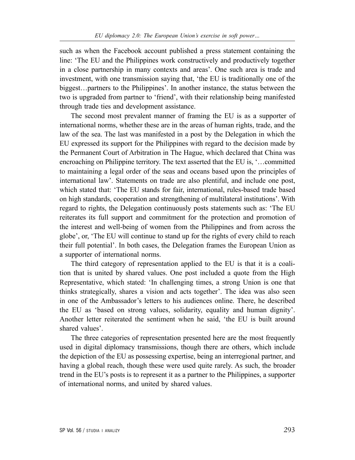such as when the Facebook account published a press statement containing the line: 'The EU and the Philippines work constructively and productively together in a close partnership in many contexts and areas'. One such area is trade and investment, with one transmission saying that, 'the EU is traditionally one of the biggest…partners to the Philippines'. In another instance, the status between the two is upgraded from partner to 'friend', with their relationship being manifested through trade ties and development assistance.

The second most prevalent manner of framing the EU is as a supporter of international norms, whether these are in the areas of human rights, trade, and the law of the sea. The last was manifested in a post by the Delegation in which the EU expressed its support for the Philippines with regard to the decision made by the Permanent Court of Arbitration in The Hague, which declared that China was encroaching on Philippine territory. The text asserted that the EU is, '…committed to maintaining a legal order of the seas and oceans based upon the principles of international law'. Statements on trade are also plentiful, and include one post, which stated that: 'The EU stands for fair, international, rules-based trade based on high standards, cooperation and strengthening of multilateral institutions'. With regard to rights, the Delegation continuously posts statements such as: 'The EU reiterates its full support and commitment for the protection and promotion of the interest and well-being of women from the Philippines and from across the globe', or, 'The EU will continue to stand up for the rights of every child to reach their full potential'. In both cases, the Delegation frames the European Union as a supporter of international norms.

The third category of representation applied to the EU is that it is a coalition that is united by shared values. One post included a quote from the High Representative, which stated: 'In challenging times, a strong Union is one that thinks strategically, shares a vision and acts together'. The idea was also seen in one of the Ambassador's letters to his audiences online. There, he described the EU as 'based on strong values, solidarity, equality and human dignity'. Another letter reiterated the sentiment when he said, 'the EU is built around shared values'.

The three categories of representation presented here are the most frequently used in digital diplomacy transmissions, though there are others, which include the depiction of the EU as possessing expertise, being an interregional partner, and having a global reach, though these were used quite rarely. As such, the broader trend in the EU's posts is to represent it as a partner to the Philippines, a supporter of international norms, and united by shared values.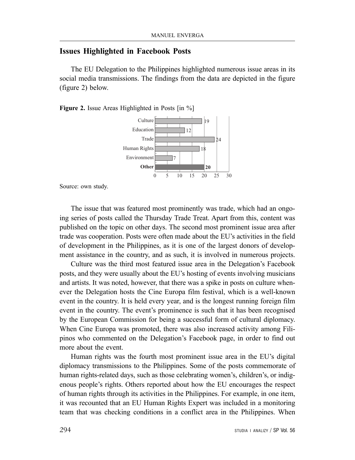#### **Issues Highlighted in Facebook Posts**

The EU Delegation to the Philippines highlighted numerous issue areas in its social media transmissions. The findings from the data are depicted in the figure (figure 2) below.

**Figure 2.** Issue Areas Highlighted in Posts [in %]



Source: own study.

The issue that was featured most prominently was trade, which had an ongoing series of posts called the Thursday Trade Treat. Apart from this, content was published on the topic on other days. The second most prominent issue area after trade was cooperation. Posts were often made about the EU's activities in the field of development in the Philippines, as it is one of the largest donors of development assistance in the country, and as such, it is involved in numerous projects.

Culture was the third most featured issue area in the Delegation's Facebook posts, and they were usually about the EU's hosting of events involving musicians and artists. It was noted, however, that there was a spike in posts on culture whenever the Delegation hosts the Cine Europa film festival, which is a well-known event in the country. It is held every year, and is the longest running foreign film event in the country. The event's prominence is such that it has been recognised by the European Commission for being a successful form of cultural diplomacy. When Cine Europa was promoted, there was also increased activity among Filipinos who commented on the Delegation's Facebook page, in order to find out more about the event.

Human rights was the fourth most prominent issue area in the EU's digital diplomacy transmissions to the Philippines. Some of the posts commemorate of human rights-related days, such as those celebrating women's, children's, or indigenous people's rights. Others reported about how the EU encourages the respect of human rights through its activities in the Philippines. For example, in one item, it was recounted that an EU Human Rights Expert was included in a monitoring team that was checking conditions in a conflict area in the Philippines. When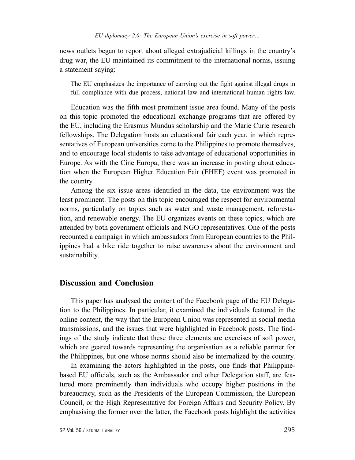news outlets began to report about alleged extrajudicial killings in the country's drug war, the EU maintained its commitment to the international norms, issuing a statement saying:

The EU emphasizes the importance of carrying out the fight against illegal drugs in full compliance with due process, national law and international human rights law.

Education was the fifth most prominent issue area found. Many of the posts on this topic promoted the educational exchange programs that are offered by the EU, including the Erasmus Mundus scholarship and the Marie Curie research fellowships. The Delegation hosts an educational fair each year, in which representatives of European universities come to the Philippines to promote themselves, and to encourage local students to take advantage of educational opportunities in Europe. As with the Cine Europa, there was an increase in posting about education when the European Higher Education Fair (EHEF) event was promoted in the country.

Among the six issue areas identified in the data, the environment was the least prominent. The posts on this topic encouraged the respect for environmental norms, particularly on topics such as water and waste management, reforestation, and renewable energy. The EU organizes events on these topics, which are attended by both government officials and NGO representatives. One of the posts recounted a campaign in which ambassadors from European countries to the Philippines had a bike ride together to raise awareness about the environment and sustainability.

#### **Discussion and Conclusion**

This paper has analysed the content of the Facebook page of the EU Delegation to the Philippines. In particular, it examined the individuals featured in the online content, the way that the European Union was represented in social media transmissions, and the issues that were highlighted in Facebook posts. The findings of the study indicate that these three elements are exercises of soft power, which are geared towards representing the organisation as a reliable partner for the Philippines, but one whose norms should also be internalized by the country.

In examining the actors highlighted in the posts, one finds that Philippinebased EU officials, such as the Ambassador and other Delegation staff, are featured more prominently than individuals who occupy higher positions in the bureaucracy, such as the Presidents of the European Commission, the European Council, or the High Representative for Foreign Affairs and Security Policy. By emphasising the former over the latter, the Facebook posts highlight the activities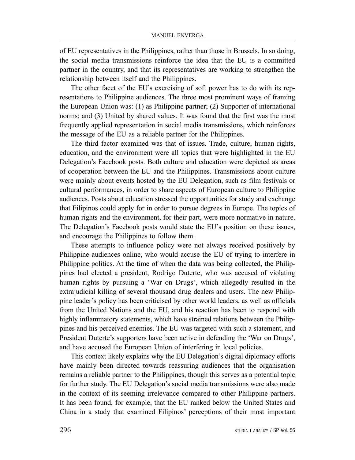of EU representatives in the Philippines, rather than those in Brussels. In so doing, the social media transmissions reinforce the idea that the EU is a committed partner in the country, and that its representatives are working to strengthen the relationship between itself and the Philippines.

The other facet of the EU's exercising of soft power has to do with its representations to Philippine audiences. The three most prominent ways of framing the European Union was: (1) as Philippine partner; (2) Supporter of international norms; and (3) United by shared values. It was found that the first was the most frequently applied representation in social media transmissions, which reinforces the message of the EU as a reliable partner for the Philippines.

The third factor examined was that of issues. Trade, culture, human rights, education, and the environment were all topics that were highlighted in the EU Delegation's Facebook posts. Both culture and education were depicted as areas of cooperation between the EU and the Philippines. Transmissions about culture were mainly about events hosted by the EU Delegation, such as film festivals or cultural performances, in order to share aspects of European culture to Philippine audiences. Posts about education stressed the opportunities for study and exchange that Filipinos could apply for in order to pursue degrees in Europe. The topics of human rights and the environment, for their part, were more normative in nature. The Delegation's Facebook posts would state the EU's position on these issues, and encourage the Philippines to follow them.

These attempts to influence policy were not always received positively by Philippine audiences online, who would accuse the EU of trying to interfere in Philippine politics. At the time of when the data was being collected, the Philippines had elected a president, Rodrigo Duterte, who was accused of violating human rights by pursuing a 'War on Drugs', which allegedly resulted in the extrajudicial killing of several thousand drug dealers and users. The new Philippine leader's policy has been criticised by other world leaders, as well as officials from the United Nations and the EU, and his reaction has been to respond with highly inflammatory statements, which have strained relations between the Philippines and his perceived enemies. The EU was targeted with such a statement, and President Duterte's supporters have been active in defending the 'War on Drugs', and have accused the European Union of interfering in local policies.

This context likely explains why the EU Delegation's digital diplomacy efforts have mainly been directed towards reassuring audiences that the organisation remains a reliable partner to the Philippines, though this serves as a potential topic for further study. The EU Delegation's social media transmissions were also made in the context of its seeming irrelevance compared to other Philippine partners. It has been found, for example, that the EU ranked below the United States and China in a study that examined Filipinos' perceptions of their most important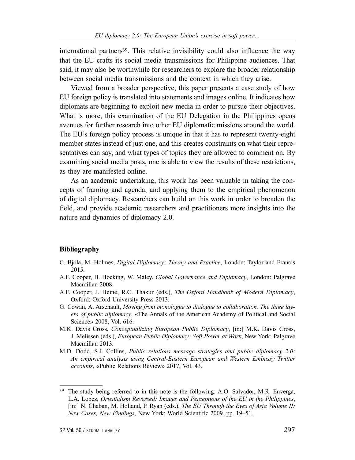international partners39. This relative invisibility could also influence the way that the EU crafts its social media transmissions for Philippine audiences. That said, it may also be worthwhile for researchers to explore the broader relationship between social media transmissions and the context in which they arise.

Viewed from a broader perspective, this paper presents a case study of how EU foreign policy is translated into statements and images online. It indicates how diplomats are beginning to exploit new media in order to pursue their objectives. What is more, this examination of the EU Delegation in the Philippines opens avenues for further research into other EU diplomatic missions around the world. The EU's foreign policy process is unique in that it has to represent twenty-eight member states instead of just one, and this creates constraints on what their representatives can say, and what types of topics they are allowed to comment on. By examining social media posts, one is able to view the results of these restrictions, as they are manifested online.

As an academic undertaking, this work has been valuable in taking the concepts of framing and agenda, and applying them to the empirical phenomenon of digital diplomacy. Researchers can build on this work in order to broaden the field, and provide academic researchers and practitioners more insights into the nature and dynamics of diplomacy 2.0.

#### **Bibliography**

- C. Bjola, M. Holmes, *Digital Diplomacy: Theory and Practice*, London: Taylor and Francis 2015.
- A.F. Cooper, B. Hocking, W. Maley. *Global Governance and Diplomacy*, London: Palgrave Macmillan 2008.
- A.F. Cooper, J. Heine, R.C. Thakur (eds.), *The Oxford Handbook of Modern Diplomacy*, Oxford: Oxford University Press 2013.
- G. Cowan, A. Arsenault, *Moving from monologue to dialogue to collaboration. The three layers of public diplomacy*, «The Annals of the American Academy of Political and Social Science» 2008, Vol. 616.
- M.K. Davis Cross, *Conceptualizing European Public Diplomacy*, [in:] M.K. Davis Cross, J. Melissen (eds.), *European Public Diplomacy: Soft Power at Work*, New York: Palgrave Macmillan 2013.
- M.D. Dodd, S.J. Collins, *Public relations message strategies and public diplomacy 2.0: An empirical analysis using Central-Eastern European and Western Embassy Twitter accounts*, «Public Relations Review» 2017, Vol. 43.

<sup>39</sup> The study being referred to in this note is the following: A.O. Salvador, M.R. Enverga, L.A. Lopez, *Orientalism Reversed: Images and Perceptions of the EU in the Philippines*, [in:] N. Chaban, M. Holland, P. Ryan (eds.), *The EU Through the Eyes of Asia Volume II: New Cases, New Findings*, New York: World Scientific 2009, pp. 19–51.